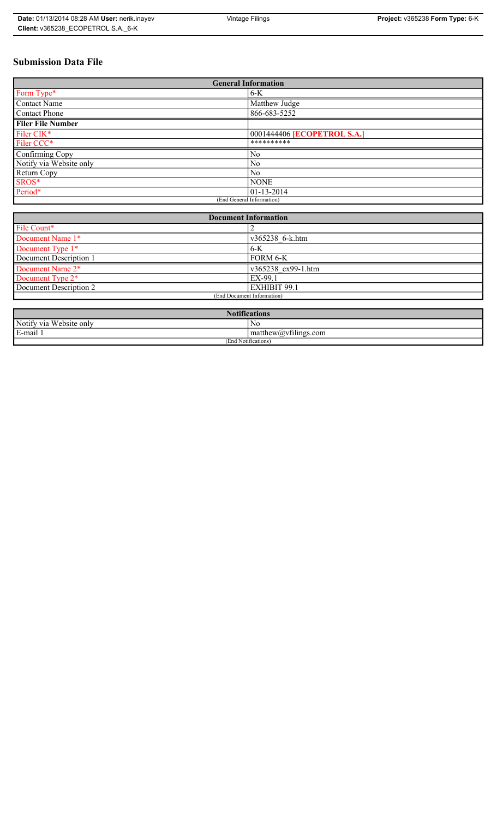# **Submission Data File**

| <b>General Information</b> |                                    |
|----------------------------|------------------------------------|
| Form Type*                 | $6-K$                              |
| <b>Contact Name</b>        | Matthew Judge                      |
| <b>Contact Phone</b>       | 866-683-5252                       |
| <b>Filer File Number</b>   |                                    |
| Filer CIK*                 | 0001444406 <b>[ECOPETROL S.A.]</b> |
| Filer CCC*                 | **********                         |
| Confirming Copy            | No                                 |
| Notify via Website only    | N <sub>0</sub>                     |
| Return Copy                | N <sub>0</sub>                     |
| SROS*                      | <b>NONE</b>                        |
| Period*                    | $01-13-2014$                       |
| (End General Information)  |                                    |

| <b>Document Information</b> |                     |
|-----------------------------|---------------------|
| File Count*                 |                     |
| Document Name 1*            | v365238 6-k.htm     |
| Document Type 1*            | $6-K$               |
| Document Description 1      | FORM 6-K            |
| Document Name 2*            | v365238 ex99-1.htm  |
| Document Type 2*            | EX-99.1             |
| Document Description 2      | <b>EXHIBIT 99.1</b> |
| (End Document Information)  |                     |
|                             |                     |

| <b>Notifications</b>    |                                                     |
|-------------------------|-----------------------------------------------------|
| Notify via Website only | N0                                                  |
| E-mail                  | $\sim$ 1<br>$ $ matthew( <i>a</i> ) $vt1$ lings.com |
| (End Notifications)     |                                                     |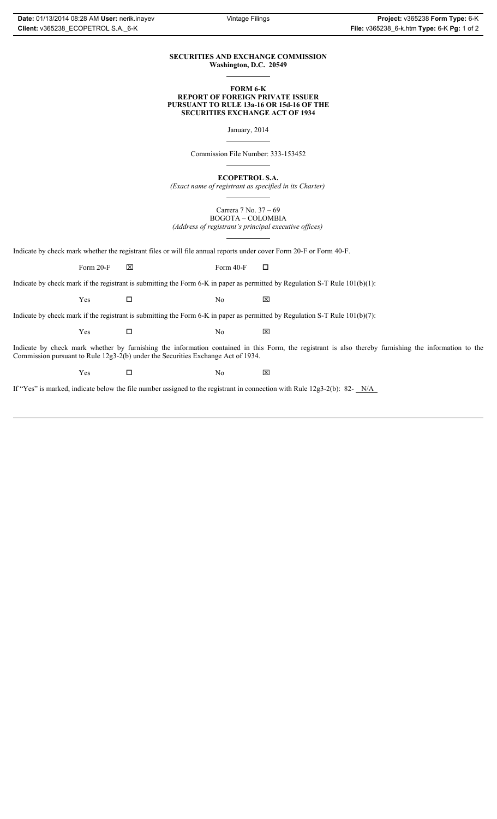### **SECURITIES AND EXCHANGE COMMISSION Washington, D.C. 20549**

#### **FORM 6-K REPORT OF FOREIGN PRIVATE ISSUER PURSUANT TO RULE 13a-16 OR 15d-16 OF THE SECURITIES EXCHANGE ACT OF 1934**

January, 2014

Commission File Number: 333-153452

**ECOPETROL S.A.**

*(Exact name of registrant as specified in its Charter)*

Carrera 7 No. 37 – 69 BOGOTA – COLOMBIA *(Address of registrant's principal executive offices)*

Indicate by check mark whether the registrant files or will file annual reports under cover Form 20-F or Form 40-F.

Form 20-F  $\boxtimes$  Form 40-F  $\Box$ 

Indicate by check mark if the registrant is submitting the Form 6-K in paper as permitted by Regulation S-T Rule 101(b)(1):

 $Yes$   $\Box$  No  $X$ 

Indicate by check mark if the registrant is submitting the Form 6-K in paper as permitted by Regulation S-T Rule 101(b)(7):

 $Yes$   $\Box$  No  $X$ 

Indicate by check mark whether by furnishing the information contained in this Form, the registrant is also thereby furnishing the information to the Commission pursuant to Rule 12g3-2(b) under the Securities Exchange Act of 1934.

 $Yes$   $\Box$  No  $X$ 

If "Yes" is marked, indicate below the file number assigned to the registrant in connection with Rule 12g3-2(b): 82- N/A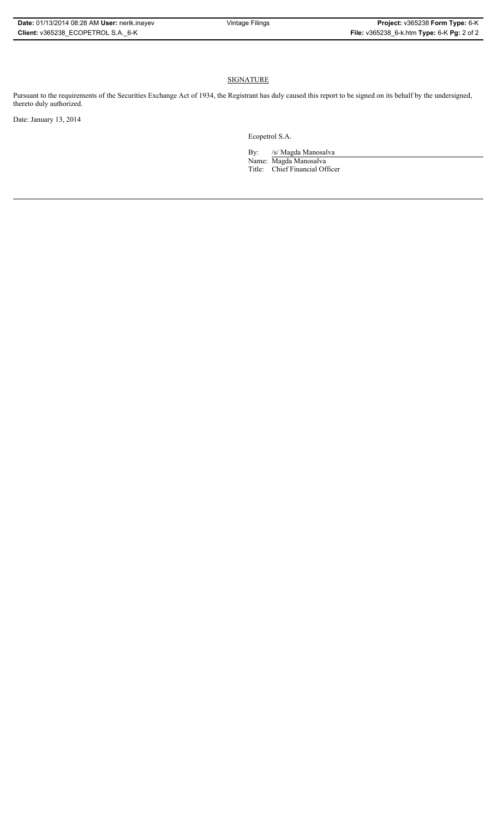# **SIGNATURE**

Pursuant to the requirements of the Securities Exchange Act of 1934, the Registrant has duly caused this report to be signed on its behalf by the undersigned, thereto duly authorized.

Date: January 13, 2014

Ecopetrol S.A.

By: /s/ Magda Manosalva Name: Magda Manosalva Title: Chief Financial Officer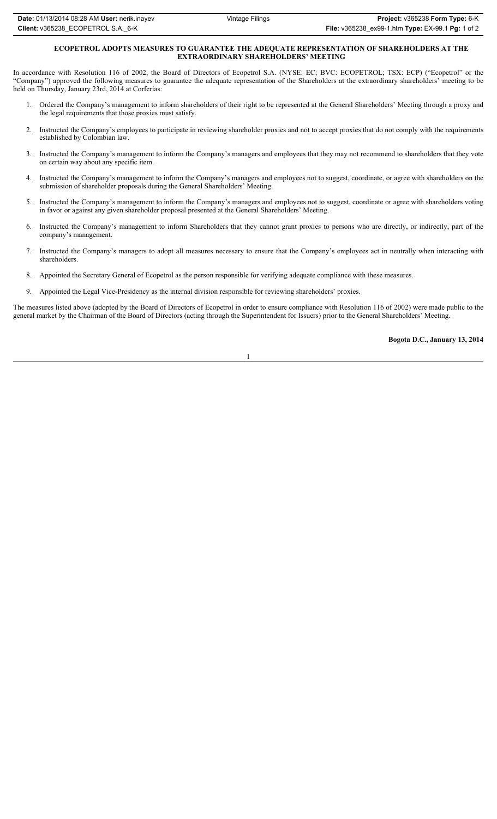# **ECOPETROL ADOPTS MEASURES TO GUARANTEE THE ADEQUATE REPRESENTATION OF SHAREHOLDERS AT THE EXTRAORDINARY SHAREHOLDERS' MEETING**

In accordance with Resolution 116 of 2002, the Board of Directors of Ecopetrol S.A. (NYSE: EC; BVC: ECOPETROL; TSX: ECP) ("Ecopetrol" or the "Company") approved the following measures to guarantee the adequate representation of the Shareholders at the extraordinary shareholders' meeting to be held on Thursday, January 23rd, 2014 at Corferias:

- 1. Ordered the Company's management to inform shareholders of their right to be represented at the General Shareholders' Meeting through a proxy and the legal requirements that those proxies must satisfy.
- 2. Instructed the Company's employees to participate in reviewing shareholder proxies and not to accept proxies that do not comply with the requirements established by Colombian law.
- 3. Instructed the Company's management to inform the Company's managers and employees that they may not recommend to shareholders that they vote on certain way about any specific item.
- 4. Instructed the Company's management to inform the Company's managers and employees not to suggest, coordinate, or agree with shareholders on the submission of shareholder proposals during the General Shareholders' Meeting.
- 5. Instructed the Company's management to inform the Company's managers and employees not to suggest, coordinate or agree with shareholders voting in favor or against any given shareholder proposal presented at the General Shareholders' Meeting.
- 6. Instructed the Company's management to inform Shareholders that they cannot grant proxies to persons who are directly, or indirectly, part of the company's management.
- 7. Instructed the Company's managers to adopt all measures necessary to ensure that the Company's employees act in neutrally when interacting with shareholders.
- 8. Appointed the Secretary General of Ecopetrol as the person responsible for verifying adequate compliance with these measures.
- 9. Appointed the Legal Vice-Presidency as the internal division responsible for reviewing shareholders' proxies.

The measures listed above (adopted by the Board of Directors of Ecopetrol in order to ensure compliance with Resolution 116 of 2002) were made public to the general market by the Chairman of the Board of Directors (acting through the Superintendent for Issuers) prior to the General Shareholders' Meeting.

# **Bogota D.C., January 13, 2014**

1